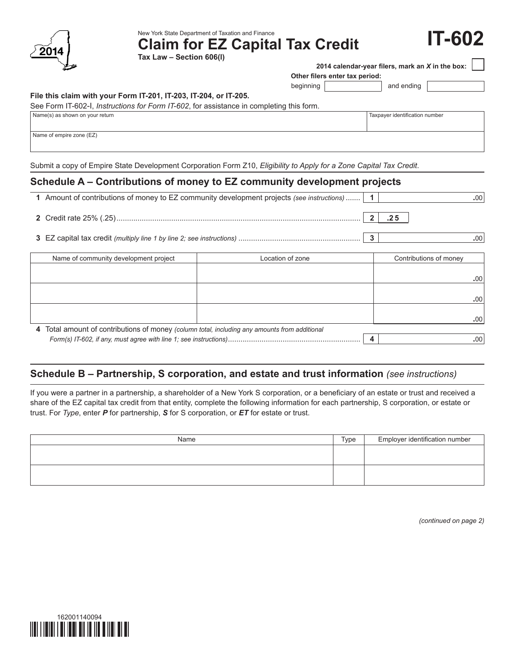| 014<br>◢ |
|----------|
|          |

New York State Department of Taxation and Finance

**Claim for EZ Capital Tax Credit**

**Tax Law – Section 606(l)**

 **2014 calendar-year filers, mark an** *X* **in the box:**

**Other filers enter tax period:**

beginning | and ending

**IT-602**

#### **File this claim with your Form IT-201, IT-203, IT-204, or IT-205.**

|  |  |  |  | See Form IT-602-I, <i>Instructions for Form IT-602</i> , for assistance in completing this form. |
|--|--|--|--|--------------------------------------------------------------------------------------------------|
|--|--|--|--|--------------------------------------------------------------------------------------------------|

|  | Taxpayer identification number |  |  |  |  |
|--|--------------------------------|--|--|--|--|
|  |                                |  |  |  |  |

Name of empire zone (EZ)

Name(s) as shown on your return

Submit a copy of Empire State Development Corporation Form Z10, *Eligibility to Apply for a Zone Capital Tax Credit*.

### **Schedule A – Contributions of money to EZ community development projects**

| 1 Amount of contributions of money to EZ community development projects (see instructions)   1 |                  |  |                        | .00 <sub>1</sub> |
|------------------------------------------------------------------------------------------------|------------------|--|------------------------|------------------|
|                                                                                                |                  |  | .25                    |                  |
|                                                                                                |                  |  |                        | .00'             |
| Name of community development project                                                          | Location of zone |  | Contributions of money |                  |
|                                                                                                |                  |  |                        | .00              |
|                                                                                                |                  |  |                        | .00              |

 **4**  Total amount of contributions of money *(column total, including any amounts from additional Form(s) IT-602, if any, must agree with line 1; see instructions)*............................................................... **4 .**00 **.**00

## **Schedule B – Partnership, S corporation, and estate and trust information** *(see instructions)*

If you were a partner in a partnership, a shareholder of a New York S corporation, or a beneficiary of an estate or trust and received a share of the EZ capital tax credit from that entity, complete the following information for each partnership, S corporation, or estate or trust. For *Type*, enter *P* for partnership, *S* for S corporation, or *ET* for estate or trust.

| Name | Type | Employer identification number |
|------|------|--------------------------------|
|      |      |                                |
|      |      |                                |
|      |      |                                |
|      |      |                                |

*(continued on page 2)*

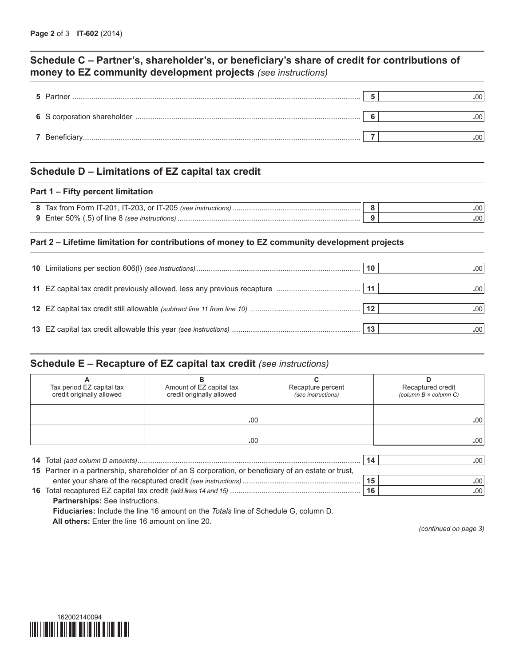## **Schedule C – Partner's, shareholder's, or beneficiary's share of credit for contributions of money to EZ community development projects** *(see instructions)*

| 5 Partner | .00 |
|-----------|-----|
|           | 00  |
|           | nn  |

## **Schedule D – Limitations of EZ capital tax credit**

#### **Part 1 – Fifty percent limitation**

| 8 Tax from Form IT-201, IT-203, or IT-205 (see instructions) |  |
|--------------------------------------------------------------|--|
| <b>9</b> Enter 50% (.5) of line 8 (see instructions)         |  |

#### **Part 2 – Lifetime limitation for contributions of money to EZ community development projects**

|  | 10          | .00'             |
|--|-------------|------------------|
|  | ∣ 11        | .00              |
|  | $\sqrt{12}$ | .00 <sup>1</sup> |
|  |             |                  |

### **Schedule E – Recapture of EZ capital tax credit** *(see instructions)*

| Tax period EZ capital tax                                                                           | Amount of EZ capital tax  | Recapture percent  | Recaptured credit            |  |  |
|-----------------------------------------------------------------------------------------------------|---------------------------|--------------------|------------------------------|--|--|
| credit originally allowed                                                                           | credit originally allowed | (see instructions) | (column $B \times$ column C) |  |  |
|                                                                                                     |                           |                    |                              |  |  |
|                                                                                                     |                           |                    |                              |  |  |
|                                                                                                     | .00                       |                    | .00 <sub>1</sub>             |  |  |
|                                                                                                     |                           |                    |                              |  |  |
|                                                                                                     | .00.                      |                    | .00 <sub>1</sub>             |  |  |
|                                                                                                     |                           |                    |                              |  |  |
|                                                                                                     |                           | 14                 | .00 <sub>1</sub>             |  |  |
| 15 Partner in a partnership, shareholder of an S corporation, or beneficiary of an estate or trust, |                           |                    |                              |  |  |
|                                                                                                     |                           | 15                 | .00                          |  |  |

 **16**  Total recaptured EZ capital tax credit *(add lines 14 and 15)* .............................................................. **16 .**00

**Partnerships:** See instructions. **Fiduciaries:** Include the line 16 amount on the *Totals* line of Schedule G, column D. **All others:** Enter the line 16 amount on line 20.

*(continued on page 3)*